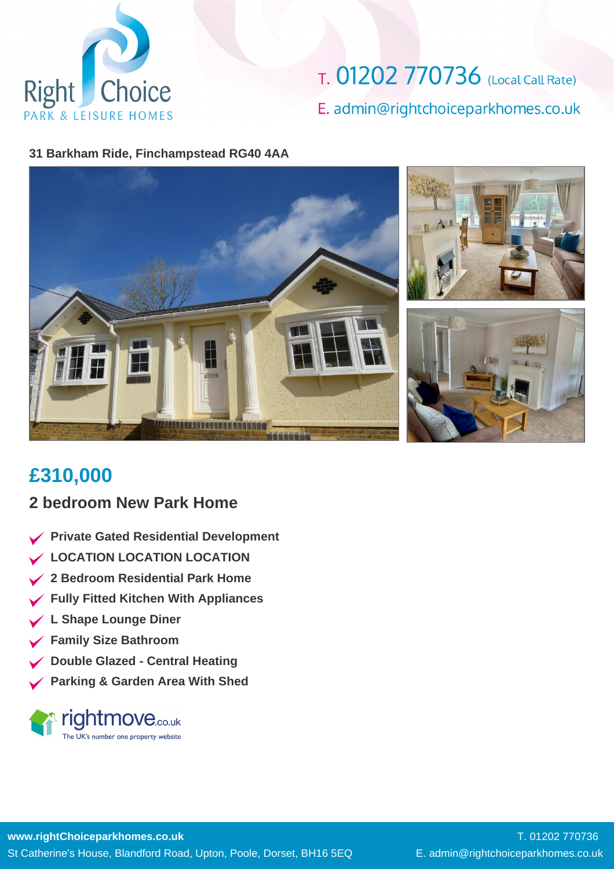

T. 01202 770736 (Local Call Rate) E. admin@rightchoiceparkhomes.co.uk

#### **31 Barkham Ride, Finchampstead RG40 4AA**



## **£310,000**

#### **2 bedroom New Park Home**

- **Private Gated Residential Development**
- **LOCATION LOCATION LOCATION**
- **2 Bedroom Residential Park Home**
- **Fully Fitted Kitchen With Appliances**
- **L Shape Lounge Diner**
- **Family Size Bathroom**
- **Double Glazed Central Heating**
- **Parking & Garden Area With Shed**